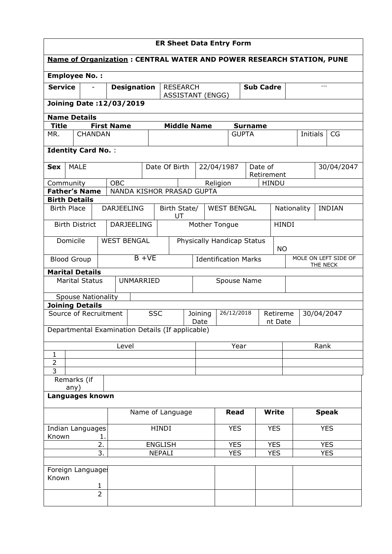| <b>ER Sheet Data Entry Form</b>                                             |                                     |                |                           |                                                                |                            |      |                    |                    |                             |                |                     |              |              |                      |               |
|-----------------------------------------------------------------------------|-------------------------------------|----------------|---------------------------|----------------------------------------------------------------|----------------------------|------|--------------------|--------------------|-----------------------------|----------------|---------------------|--------------|--------------|----------------------|---------------|
| <b>Name of Organization: CENTRAL WATER AND POWER RESEARCH STATION, PUNE</b> |                                     |                |                           |                                                                |                            |      |                    |                    |                             |                |                     |              |              |                      |               |
| <b>Employee No.:</b>                                                        |                                     |                |                           |                                                                |                            |      |                    |                    |                             |                |                     |              |              |                      |               |
| <b>Service</b>                                                              | <b>Designation</b>                  |                |                           | <b>RESEARCH</b><br><b>Sub Cadre</b><br><b>ASSISTANT (ENGG)</b> |                            |      |                    |                    |                             |                | $---$               |              |              |                      |               |
| <b>Joining Date:12/03/2019</b>                                              |                                     |                |                           |                                                                |                            |      |                    |                    |                             |                |                     |              |              |                      |               |
| <b>Name Details</b>                                                         |                                     |                |                           |                                                                |                            |      |                    |                    |                             |                |                     |              |              |                      |               |
| <b>Title</b>                                                                |                                     |                | <b>First Name</b>         |                                                                |                            |      | <b>Middle Name</b> |                    |                             | <b>Surname</b> |                     |              |              |                      |               |
| MR.                                                                         | <b>CHANDAN</b>                      |                |                           |                                                                |                            |      |                    |                    |                             | <b>GUPTA</b>   |                     |              | Initials     |                      | CG            |
| <b>Identity Card No.:</b>                                                   |                                     |                |                           |                                                                |                            |      |                    |                    |                             |                |                     |              |              |                      |               |
| <b>MALE</b><br><b>Sex</b>                                                   |                                     |                |                           |                                                                | Date Of Birth              |      |                    | 22/04/1987         |                             | Date of        | Retirement          |              |              |                      | 30/04/2047    |
| Community                                                                   |                                     |                | OBC                       |                                                                |                            |      |                    | Religion           |                             |                | <b>HINDU</b>        |              |              |                      |               |
| <b>Father's Name</b>                                                        |                                     |                | NANDA KISHOR PRASAD GUPTA |                                                                |                            |      |                    |                    |                             |                |                     |              |              |                      |               |
| <b>Birth Details</b>                                                        |                                     |                |                           |                                                                |                            |      |                    |                    |                             |                |                     |              |              |                      |               |
| <b>Birth Place</b>                                                          |                                     |                | <b>DARJEELING</b>         |                                                                | Birth State/               | UT   |                    | <b>WEST BENGAL</b> |                             |                |                     | Nationality  |              |                      | <b>INDIAN</b> |
| <b>Birth District</b>                                                       |                                     |                | <b>DARJEELING</b>         |                                                                |                            |      | Mother Tongue      |                    |                             |                |                     | <b>HINDI</b> |              |                      |               |
| Domicile                                                                    |                                     |                | <b>WEST BENGAL</b>        |                                                                | Physically Handicap Status |      |                    |                    | <b>NO</b>                   |                |                     |              |              |                      |               |
| <b>Blood Group</b>                                                          |                                     |                | $B + VE$                  |                                                                |                            |      |                    |                    | <b>Identification Marks</b> |                |                     |              | THE NECK     | MOLE ON LEFT SIDE OF |               |
| <b>Marital Details</b>                                                      |                                     |                |                           |                                                                |                            |      |                    |                    |                             |                |                     |              |              |                      |               |
| <b>Marital Status</b>                                                       |                                     |                | <b>UNMARRIED</b>          |                                                                | Spouse Name                |      |                    |                    |                             |                |                     |              |              |                      |               |
| <b>Spouse Nationality</b>                                                   |                                     |                |                           |                                                                |                            |      |                    |                    |                             |                |                     |              |              |                      |               |
| <b>Joining Details</b><br>Source of Recruitment                             |                                     |                |                           | <b>SSC</b>                                                     |                            |      |                    |                    | 26/12/2018                  |                |                     |              |              |                      |               |
|                                                                             |                                     |                |                           |                                                                |                            |      | Joining<br>Date    |                    |                             |                | Retireme<br>nt Date |              |              |                      | 30/04/2047    |
| Departmental Examination Details (If applicable)                            |                                     |                |                           |                                                                |                            |      |                    |                    |                             |                |                     |              |              |                      |               |
|                                                                             |                                     |                | Level                     |                                                                |                            | Year |                    |                    |                             |                |                     |              | Rank         |                      |               |
| 1<br>$\overline{2}$                                                         |                                     |                |                           |                                                                |                            |      |                    |                    |                             |                |                     |              |              |                      |               |
| 3                                                                           |                                     |                |                           |                                                                |                            |      |                    |                    |                             |                |                     |              |              |                      |               |
| Remarks (if<br>any)                                                         |                                     |                |                           |                                                                |                            |      |                    |                    |                             |                |                     |              |              |                      |               |
| Languages known                                                             |                                     |                |                           |                                                                |                            |      |                    |                    |                             |                |                     |              |              |                      |               |
|                                                                             |                                     |                |                           | Name of Language                                               |                            |      |                    | <b>Read</b>        |                             | <b>Write</b>   |                     |              | <b>Speak</b> |                      |               |
| Indian Languages                                                            |                                     |                |                           |                                                                | <b>HINDI</b>               |      |                    |                    | <b>YES</b>                  |                | <b>YES</b>          |              | <b>YES</b>   |                      |               |
|                                                                             | Known<br>1.<br>2.<br><b>ENGLISH</b> |                |                           |                                                                |                            |      | <b>YES</b>         |                    | <b>YES</b>                  |                |                     | <b>YES</b>   |              |                      |               |
|                                                                             |                                     | 3.             |                           |                                                                | <b>NEPALI</b>              |      |                    |                    | <b>YES</b>                  |                | <b>YES</b>          | <b>YES</b>   |              |                      |               |
|                                                                             |                                     |                |                           |                                                                |                            |      |                    |                    |                             |                |                     |              |              |                      |               |
| Foreign Languages<br>Known                                                  |                                     |                |                           |                                                                |                            |      |                    |                    |                             |                |                     |              |              |                      |               |
|                                                                             |                                     | 1              |                           |                                                                |                            |      |                    |                    |                             |                |                     |              |              |                      |               |
|                                                                             |                                     | $\overline{2}$ |                           |                                                                |                            |      |                    |                    |                             |                |                     |              |              |                      |               |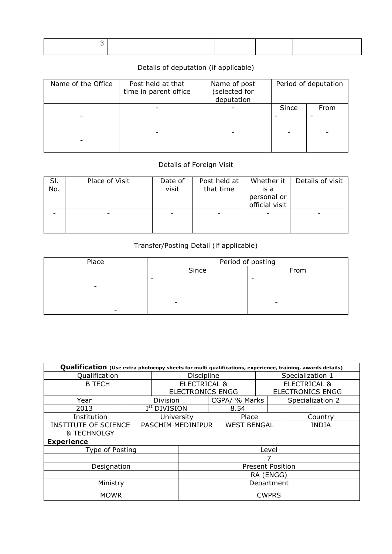## Details of deputation (if applicable)

| Name of the Office | Post held at that<br>time in parent office | Name of post<br>(selected for<br>deputation | Period of deputation |      |  |
|--------------------|--------------------------------------------|---------------------------------------------|----------------------|------|--|
|                    |                                            |                                             | Since                | From |  |
| -                  |                                            |                                             |                      |      |  |

## Details of Foreign Visit

| SI.<br>No. | Place of Visit | Date of<br>visit | Post held at<br>that time | Whether it<br>is a<br>personal or<br>official visit | Details of visit |
|------------|----------------|------------------|---------------------------|-----------------------------------------------------|------------------|
|            |                |                  |                           |                                                     |                  |

## Transfer/Posting Detail (if applicable)

| Place | Period of posting |      |  |  |  |  |
|-------|-------------------|------|--|--|--|--|
|       | Since             | From |  |  |  |  |
|       | ۰                 |      |  |  |  |  |
| -     |                   |      |  |  |  |  |
|       |                   |      |  |  |  |  |
|       | -                 | -    |  |  |  |  |
| -     |                   |      |  |  |  |  |

| <b>Qualification</b> (Use extra photocopy sheets for multi qualifications, experience, training, awards details) |            |                          |                         |                  |                         |                         |  |                  |  |  |
|------------------------------------------------------------------------------------------------------------------|------------|--------------------------|-------------------------|------------------|-------------------------|-------------------------|--|------------------|--|--|
| Qualification                                                                                                    | Discipline |                          |                         | Specialization 1 |                         |                         |  |                  |  |  |
| <b>B TECH</b>                                                                                                    |            | <b>ELECTRICAL &amp;</b>  |                         |                  | <b>ELECTRICAL &amp;</b> |                         |  |                  |  |  |
|                                                                                                                  |            | <b>ELECTRONICS ENGG</b>  |                         |                  |                         | <b>ELECTRONICS ENGG</b> |  |                  |  |  |
| Year                                                                                                             |            | Division                 |                         |                  | CGPA/ % Marks           |                         |  | Specialization 2 |  |  |
| 2013                                                                                                             |            | I <sup>st</sup> DIVISION |                         |                  | 8.54                    |                         |  |                  |  |  |
| Institution                                                                                                      |            | University               |                         |                  | Place                   |                         |  | Country          |  |  |
| <b>INSTITUTE OF SCIENCE</b>                                                                                      |            |                          | PASCHIM MEDINIPUR       |                  | <b>WEST BENGAL</b>      |                         |  | <b>INDIA</b>     |  |  |
| <b>&amp; TECHNOLGY</b>                                                                                           |            |                          |                         |                  |                         |                         |  |                  |  |  |
| <b>Experience</b>                                                                                                |            |                          |                         |                  |                         |                         |  |                  |  |  |
| Type of Posting                                                                                                  |            |                          | Level                   |                  |                         |                         |  |                  |  |  |
|                                                                                                                  |            |                          |                         |                  |                         |                         |  |                  |  |  |
| Designation                                                                                                      |            |                          | <b>Present Position</b> |                  |                         |                         |  |                  |  |  |
|                                                                                                                  | RA (ENGG)  |                          |                         |                  |                         |                         |  |                  |  |  |
| Ministry                                                                                                         | Department |                          |                         |                  |                         |                         |  |                  |  |  |
| <b>MOWR</b>                                                                                                      |            |                          | <b>CWPRS</b>            |                  |                         |                         |  |                  |  |  |